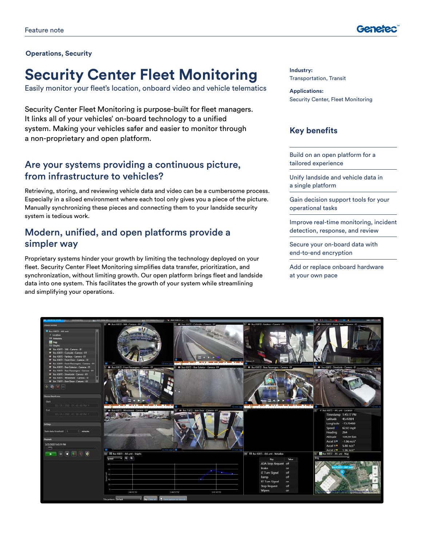

#### **Operations, Security**

# **Security Center Fleet Monitoring**

Easily monitor your fleet's location, onboard video and vehicle telematics

Security Center Fleet Monitoring is purpose-built for fleet managers. It links all of your vehicles' on-board technology to a unified system. Making your vehicles safer and easier to monitor through a non-proprietary and open platform.

### Are your systems providing a continuous picture, from infrastructure to vehicles?

Retrieving, storing, and reviewing vehicle data and video can be a cumbersome process. Especially in a siloed environment where each tool only gives you a piece of the picture. Manually synchronizing these pieces and connecting them to your landside security system is tedious work.

### Modern, unified, and open platforms provide a simpler way

Proprietary systems hinder your growth by limiting the technology deployed on your fleet. Security Center Fleet Monitoring simplifies data transfer, prioritization, and synchronization, without limiting growth. Our open platform brings fleet and landside data into one system. This facilitates the growth of your system while streamlining and simplifying your operations.

**Industry:** Transportation, Transit

**Applications:** Security Center, Fleet Monitoring

### **Key benefits**

Build on an open platform for a tailored experience

Unify landside and vehicle data in a single platform

Gain decision support tools for your operational tasks

Improve real-time monitoring, incident detection, response, and review

Secure your on-board data with end-to-end encryption

Add or replace onboard hardware at your own pace